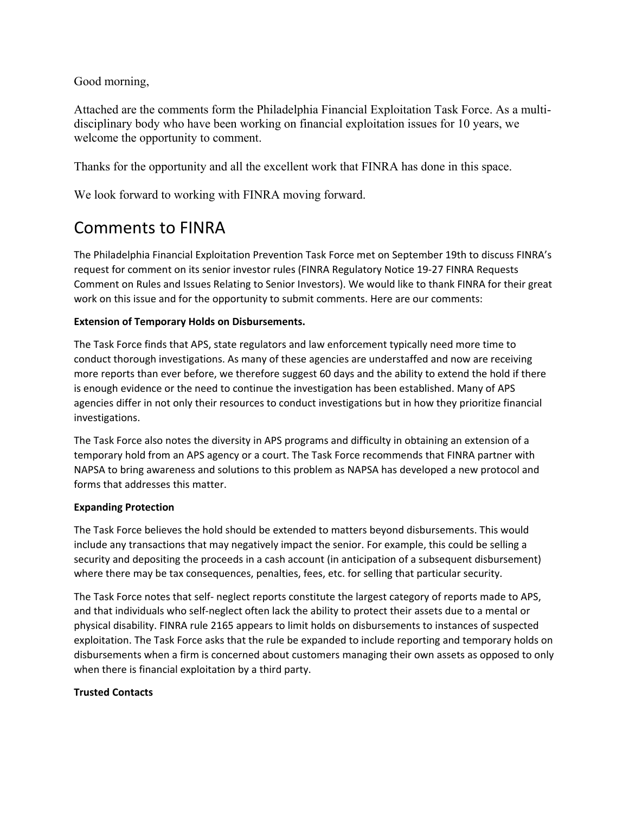Good morning,

Attached are the comments form the Philadelphia Financial Exploitation Task Force. As a multidisciplinary body who have been working on financial exploitation issues for 10 years, we welcome the opportunity to comment.

Thanks for the opportunity and all the excellent work that FINRA has done in this space.

We look forward to working with FINRA moving forward.

# Comments to FINRA

The Philadelphia Financial Exploitation Prevention Task Force met on September 19th to discuss FINRA's request for comment on its senior investor rules (FINRA Regulatory Notice 19‐27 FINRA Requests Comment on Rules and Issues Relating to Senior Investors). We would like to thank FINRA for their great work on this issue and for the opportunity to submit comments. Here are our comments:

## **Extension of Temporary Holds on Disbursements.**

The Task Force finds that APS, state regulators and law enforcement typically need more time to conduct thorough investigations. As many of these agencies are understaffed and now are receiving more reports than ever before, we therefore suggest 60 days and the ability to extend the hold if there is enough evidence or the need to continue the investigation has been established. Many of APS agencies differ in not only their resources to conduct investigations but in how they prioritize financial investigations.

The Task Force also notes the diversity in APS programs and difficulty in obtaining an extension of a temporary hold from an APS agency or a court. The Task Force recommends that FINRA partner with NAPSA to bring awareness and solutions to this problem as NAPSA has developed a new protocol and forms that addresses this matter.

#### **Expanding Protection**

The Task Force believes the hold should be extended to matters beyond disbursements. This would include any transactions that may negatively impact the senior. For example, this could be selling a security and depositing the proceeds in a cash account (in anticipation of a subsequent disbursement) where there may be tax consequences, penalties, fees, etc. for selling that particular security.

The Task Force notes that self‐ neglect reports constitute the largest category of reports made to APS, and that individuals who self‐neglect often lack the ability to protect their assets due to a mental or physical disability. FINRA rule 2165 appears to limit holds on disbursements to instances of suspected exploitation. The Task Force asks that the rule be expanded to include reporting and temporary holds on disbursements when a firm is concerned about customers managing their own assets as opposed to only when there is financial exploitation by a third party.

## **Trusted Contacts**